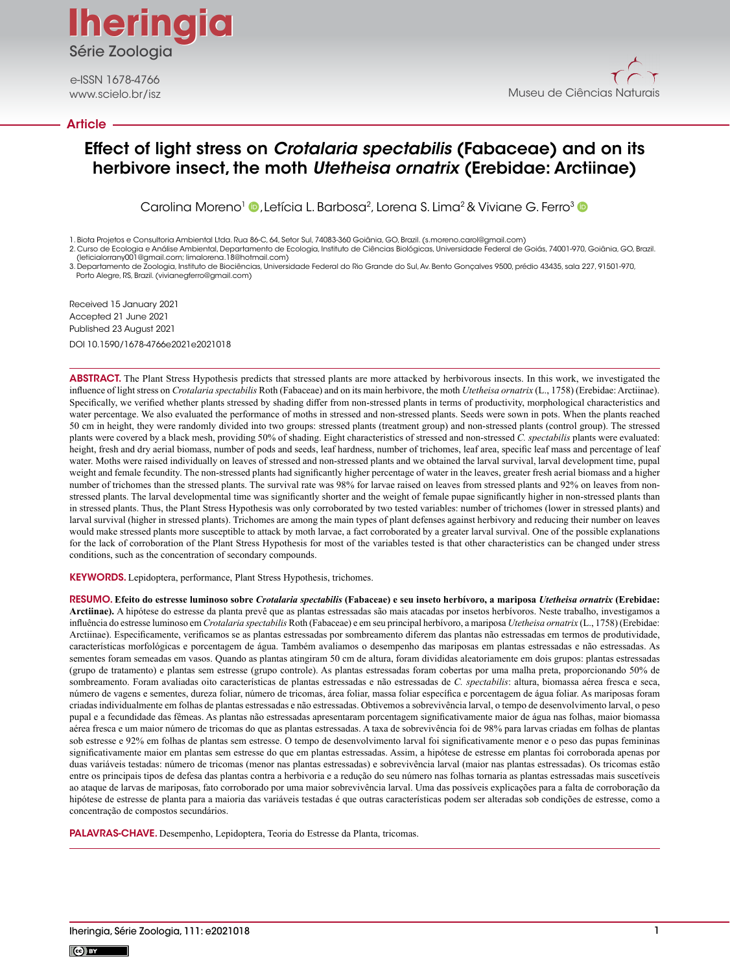**Iheringia Iheringia** Série Zoologia

e-ISSN 1678-4766

### Article



# Effect of light stress on *Crotalaria spectabilis* (Fabaceae) and on its herbivore insect, the moth *Utetheisa ornatrix* (Erebidae: Arctiinae)

Carolina Moreno<sup>1</sup> **D**, Letícia L. Barbosa<sup>2</sup>, Lorena S. Lima<sup>2</sup> & Viviane G. Ferro<sup>3</sup> D

1. Biota Projetos e Consultoria Ambiental Ltda. Rua 86-C, 64, Setor Sul, 74083-360 Goiânia, GO, Brazil. (s.moreno.carol@gmail.com) 2. Curso de Ecologia e Análise Ambiental, Departamento de Ecologia, Instituto de Ciências Biológicas, Universidade Federal de Goiás, 74001-970, Goiânia, GO, Brazil.

(leticialorrany001@gmail.com; limalorena.18@hotmail.com) 3. Departamento de Zoologia, Instituto de Biociências, Universidade Federal do Rio Grande do Sul, Av. Bento Gonçalves 9500, prédio 43435, sala 227, 91501-970, Porto Alegre, RS, Brazil. (vivianegferro@gmail.com)

Received 15 January 2021 Accepted 21 June 2021 Published 23 August 2021 DOI 10.1590/1678-4766e2021e2021018

ABSTRACT. The Plant Stress Hypothesis predicts that stressed plants are more attacked by herbivorous insects. In this work, we investigated the influence of light stress on *Crotalaria spectabilis* Roth (Fabaceae) and on its main herbivore, the moth *Utetheisa ornatrix* (L., 1758) (Erebidae: Arctiinae). Specifically, we verified whether plants stressed by shading differ from non-stressed plants in terms of productivity, morphological characteristics and water percentage. We also evaluated the performance of moths in stressed and non-stressed plants. Seeds were sown in pots. When the plants reached 50 cm in height, they were randomly divided into two groups: stressed plants (treatment group) and non-stressed plants (control group). The stressed plants were covered by a black mesh, providing 50% of shading. Eight characteristics of stressed and non-stressed *C. spectabilis* plants were evaluated: height, fresh and dry aerial biomass, number of pods and seeds, leaf hardness, number of trichomes, leaf area, specific leaf mass and percentage of leaf water. Moths were raised individually on leaves of stressed and non-stressed plants and we obtained the larval survival, larval development time, pupal weight and female fecundity. The non-stressed plants had significantly higher percentage of water in the leaves, greater fresh aerial biomass and a higher number of trichomes than the stressed plants. The survival rate was 98% for larvae raised on leaves from stressed plants and 92% on leaves from nonstressed plants. The larval developmental time was significantly shorter and the weight of female pupae significantly higher in non-stressed plants than in stressed plants. Thus, the Plant Stress Hypothesis was only corroborated by two tested variables: number of trichomes (lower in stressed plants) and larval survival (higher in stressed plants). Trichomes are among the main types of plant defenses against herbivory and reducing their number on leaves would make stressed plants more susceptible to attack by moth larvae, a fact corroborated by a greater larval survival. One of the possible explanations for the lack of corroboration of the Plant Stress Hypothesis for most of the variables tested is that other characteristics can be changed under stress conditions, such as the concentration of secondary compounds.

KEYWORDS. Lepidoptera, performance, Plant Stress Hypothesis, trichomes.

RESUMO. **Efeito do estresse luminoso sobre** *Crotalaria spectabilis* **(Fabaceae) e seu inseto herbívoro, a mariposa** *Utetheisa ornatrix* **(Erebidae: Arctiinae).** A hipótese do estresse da planta prevê que as plantas estressadas são mais atacadas por insetos herbívoros. Neste trabalho, investigamos a influência do estresse luminoso em *Crotalaria spectabilis* Roth (Fabaceae) e em seu principal herbívoro, a mariposa *Utetheisa ornatrix* (L., 1758) (Erebidae: Arctiinae). Especificamente, verificamos se as plantas estressadas por sombreamento diferem das plantas não estressadas em termos de produtividade, características morfológicas e porcentagem de água. Também avaliamos o desempenho das mariposas em plantas estressadas e não estressadas. As sementes foram semeadas em vasos. Quando as plantas atingiram 50 cm de altura, foram divididas aleatoriamente em dois grupos: plantas estressadas (grupo de tratamento) e plantas sem estresse (grupo controle). As plantas estressadas foram cobertas por uma malha preta, proporcionando 50% de sombreamento. Foram avaliadas oito características de plantas estressadas e não estressadas de *C. spectabilis*: altura, biomassa aérea fresca e seca, número de vagens e sementes, dureza foliar, número de tricomas, área foliar, massa foliar específica e porcentagem de água foliar. As mariposas foram criadas individualmente em folhas de plantas estressadas e não estressadas. Obtivemos a sobrevivência larval, o tempo de desenvolvimento larval, o peso pupal e a fecundidade das fêmeas. As plantas não estressadas apresentaram porcentagem significativamente maior de água nas folhas, maior biomassa aérea fresca e um maior número de tricomas do que as plantas estressadas. A taxa de sobrevivência foi de 98% para larvas criadas em folhas de plantas sob estresse e 92% em folhas de plantas sem estresse. O tempo de desenvolvimento larval foi significativamente menor e o peso das pupas femininas significativamente maior em plantas sem estresse do que em plantas estressadas. Assim, a hipótese de estresse em plantas foi corroborada apenas por duas variáveis testadas: número de tricomas (menor nas plantas estressadas) e sobrevivência larval (maior nas plantas estressadas). Os tricomas estão entre os principais tipos de defesa das plantas contra a herbivoria e a redução do seu número nas folhas tornaria as plantas estressadas mais suscetíveis ao ataque de larvas de mariposas, fato corroborado por uma maior sobrevivência larval. Uma das possíveis explicações para a falta de corroboração da hipótese de estresse de planta para a maioria das variáveis testadas é que outras características podem ser alteradas sob condições de estresse, como a concentração de compostos secundários.

PALAVRAS-CHAVE. Desempenho, Lepidoptera, Teoria do Estresse da Planta, tricomas.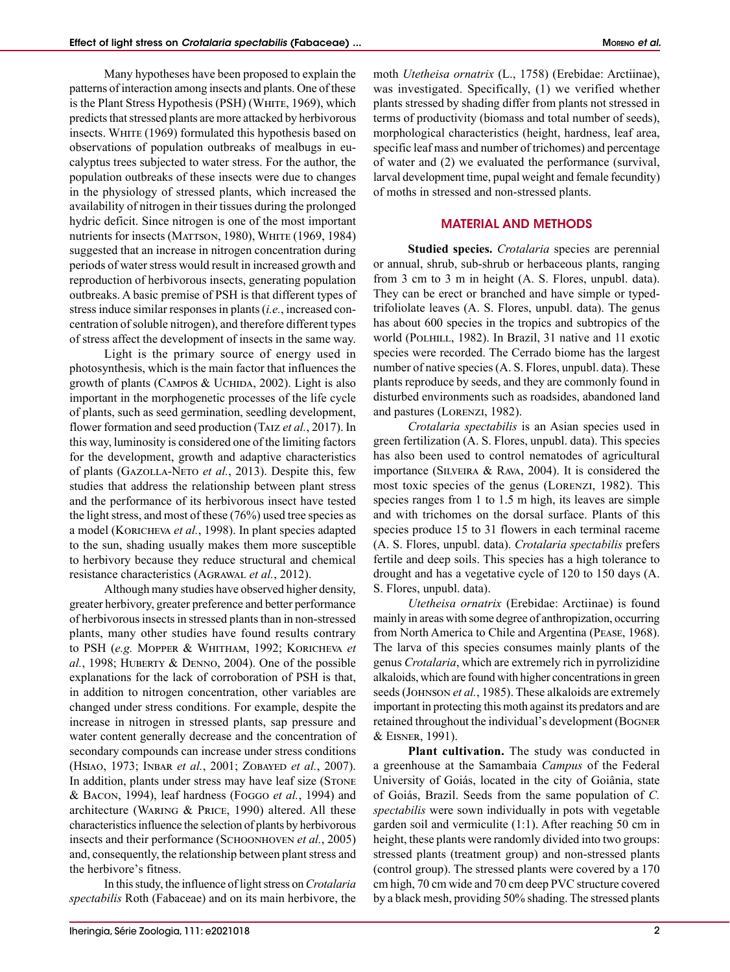Many hypotheses have been proposed to explain the patterns of interaction among insects and plants. One of these is the Plant Stress Hypothesis (PSH) (WHITE, 1969), which predicts that stressed plants are more attacked by herbivorous insects. WHITE (1969) formulated this hypothesis based on observations of population outbreaks of mealbugs in eucalyptus trees subjected to water stress. For the author, the population outbreaks of these insects were due to changes in the physiology of stressed plants, which increased the availability of nitrogen in their tissues during the prolonged hydric deficit. Since nitrogen is one of the most important nutrients for insects (MATTSON, 1980), WHITE (1969, 1984) suggested that an increase in nitrogen concentration during periods of water stress would result in increased growth and reproduction of herbivorous insects, generating population outbreaks. A basic premise of PSH is that different types of stress induce similar responses in plants (*i.e.*, increased concentration of soluble nitrogen), and therefore different types of stress affect the development of insects in the same way.

Light is the primary source of energy used in photosynthesis, which is the main factor that influences the growth of plants (CAMPOS & UCHIDA, 2002). Light is also important in the morphogenetic processes of the life cycle of plants, such as seed germination, seedling development, flower formation and seed production (Taiz *et al.*, 2017). In this way, luminosity is considered one of the limiting factors for the development, growth and adaptive characteristics of plants (Gazolla-Neto *et al.*, 2013). Despite this, few studies that address the relationship between plant stress and the performance of its herbivorous insect have tested the light stress, and most of these (76%) used tree species as a model (Koricheva *et al.*, 1998). In plant species adapted to the sun, shading usually makes them more susceptible to herbivory because they reduce structural and chemical resistance characteristics (Agrawal *et al.*, 2012).

Although many studies have observed higher density, greater herbivory, greater preference and better performance of herbivorous insects in stressed plants than in non-stressed plants, many other studies have found results contrary to PSH (*e.g.* Mopper & Whitham, 1992; Koricheva *et al.*, 1998; HUBERTY & DENNO, 2004). One of the possible explanations for the lack of corroboration of PSH is that, in addition to nitrogen concentration, other variables are changed under stress conditions. For example, despite the increase in nitrogen in stressed plants, sap pressure and water content generally decrease and the concentration of secondary compounds can increase under stress conditions (Hsiao, 1973; Inbar *et al.*, 2001; Zobayed *et al.*, 2007). In addition, plants under stress may have leaf size (STONE & Bacon, 1994), leaf hardness (Foggo *et al.*, 1994) and architecture (Waring & Price, 1990) altered. All these characteristics influence the selection of plants by herbivorous insects and their performance (SCHOONHOVEN *et al.*, 2005) and, consequently, the relationship between plant stress and the herbivore's fitness.

In this study, the influence of light stress on *Crotalaria spectabilis* Roth (Fabaceae) and on its main herbivore, the moth *Utetheisa ornatrix* (L., 1758) (Erebidae: Arctiinae), was investigated. Specifically, (1) we verified whether plants stressed by shading differ from plants not stressed in terms of productivity (biomass and total number of seeds), morphological characteristics (height, hardness, leaf area, specific leaf mass and number of trichomes) and percentage of water and (2) we evaluated the performance (survival, larval development time, pupal weight and female fecundity) of moths in stressed and non-stressed plants.

## MATERIAL AND METHODS

**Studied species.** *Crotalaria* species are perennial or annual, shrub, sub-shrub or herbaceous plants, ranging from 3 cm to 3 m in height (A. S. Flores, unpubl. data). They can be erect or branched and have simple or typedtrifoliolate leaves (A. S. Flores, unpubl. data). The genus has about 600 species in the tropics and subtropics of the world (POLHILL, 1982). In Brazil, 31 native and 11 exotic species were recorded. The Cerrado biome has the largest number of native species (A. S. Flores, unpubl. data). These plants reproduce by seeds, and they are commonly found in disturbed environments such as roadsides, abandoned land and pastures (Lorenzi, 1982).

*Crotalaria spectabilis* is an Asian species used in green fertilization (A. S. Flores, unpubl. data). This species has also been used to control nematodes of agricultural importance (Silveira & Rava, 2004). It is considered the most toxic species of the genus (Lorenzi, 1982). This species ranges from 1 to 1.5 m high, its leaves are simple and with trichomes on the dorsal surface. Plants of this species produce 15 to 31 flowers in each terminal raceme (A. S. Flores, unpubl. data). *Crotalaria spectabilis* prefers fertile and deep soils. This species has a high tolerance to drought and has a vegetative cycle of 120 to 150 days (A. S. Flores, unpubl. data).

*Utetheisa ornatrix* (Erebidae: Arctiinae) is found mainly in areas with some degree of anthropization, occurring from North America to Chile and Argentina (Pease, 1968). The larva of this species consumes mainly plants of the genus *Crotalaria*, which are extremely rich in pyrrolizidine alkaloids, which are found with higher concentrations in green seeds (JOHNSON *et al.*, 1985). These alkaloids are extremely important in protecting this moth against its predators and are retained throughout the individual's development (Bogner & Eisner, 1991).

**Plant cultivation.** The study was conducted in a greenhouse at the Samambaia *Campus* of the Federal University of Goiás, located in the city of Goiânia, state of Goiás, Brazil. Seeds from the same population of *C. spectabilis* were sown individually in pots with vegetable garden soil and vermiculite (1:1). After reaching 50 cm in height, these plants were randomly divided into two groups: stressed plants (treatment group) and non-stressed plants (control group). The stressed plants were covered by a 170 cm high, 70 cm wide and 70 cm deep PVC structure covered by a black mesh, providing 50% shading. The stressed plants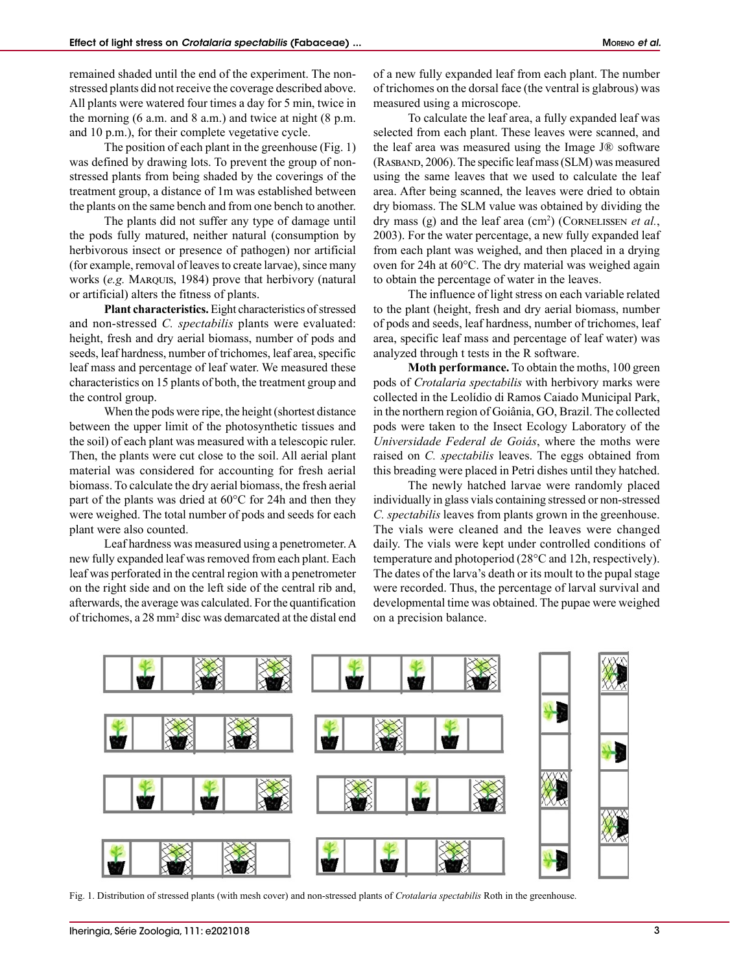remained shaded until the end of the experiment. The nonstressed plants did not receive the coverage described above. All plants were watered four times a day for 5 min, twice in the morning (6 a.m. and 8 a.m.) and twice at night (8 p.m. and 10 p.m.), for their complete vegetative cycle.

The position of each plant in the greenhouse (Fig. 1) was defined by drawing lots. To prevent the group of nonstressed plants from being shaded by the coverings of the treatment group, a distance of 1m was established between the plants on the same bench and from one bench to another.

The plants did not suffer any type of damage until the pods fully matured, neither natural (consumption by herbivorous insect or presence of pathogen) nor artificial (for example, removal of leaves to create larvae), since many works (*e.g.* Marquis, 1984) prove that herbivory (natural or artificial) alters the fitness of plants.

**Plant characteristics.** Eight characteristics of stressed and non-stressed *C. spectabilis* plants were evaluated: height, fresh and dry aerial biomass, number of pods and seeds, leaf hardness, number of trichomes, leaf area, specific leaf mass and percentage of leaf water. We measured these characteristics on 15 plants of both, the treatment group and the control group.

When the pods were ripe, the height (shortest distance between the upper limit of the photosynthetic tissues and the soil) of each plant was measured with a telescopic ruler. Then, the plants were cut close to the soil. All aerial plant material was considered for accounting for fresh aerial biomass. To calculate the dry aerial biomass, the fresh aerial part of the plants was dried at 60°C for 24h and then they were weighed. The total number of pods and seeds for each plant were also counted.

Leaf hardness was measured using a penetrometer. A new fully expanded leaf was removed from each plant. Each leaf was perforated in the central region with a penetrometer on the right side and on the left side of the central rib and, afterwards, the average was calculated. For the quantification of trichomes, a 28 mm² disc was demarcated at the distal end of a new fully expanded leaf from each plant. The number of trichomes on the dorsal face (the ventral is glabrous) was measured using a microscope.

To calculate the leaf area, a fully expanded leaf was selected from each plant. These leaves were scanned, and the leaf area was measured using the Image J® software (Rasband, 2006). The specific leaf mass (SLM) was measured using the same leaves that we used to calculate the leaf area. After being scanned, the leaves were dried to obtain dry biomass. The SLM value was obtained by dividing the dry mass (g) and the leaf area (cm<sup>2</sup>) (CORNELISSEN *et al.*, 2003). For the water percentage, a new fully expanded leaf from each plant was weighed, and then placed in a drying oven for 24h at 60°C. The dry material was weighed again to obtain the percentage of water in the leaves.

The influence of light stress on each variable related to the plant (height, fresh and dry aerial biomass, number of pods and seeds, leaf hardness, number of trichomes, leaf area, specific leaf mass and percentage of leaf water) was analyzed through t tests in the R software.

**Moth performance.** To obtain the moths, 100 green pods of *Crotalaria spectabilis* with herbivory marks were collected in the Leolídio di Ramos Caiado Municipal Park, in the northern region of Goiânia, GO, Brazil. The collected pods were taken to the Insect Ecology Laboratory of the *Universidade Federal de Goiás*, where the moths were raised on *C. spectabilis* leaves. The eggs obtained from this breading were placed in Petri dishes until they hatched.

The newly hatched larvae were randomly placed individually in glass vials containing stressed or non-stressed *C. spectabilis* leaves from plants grown in the greenhouse. The vials were cleaned and the leaves were changed daily. The vials were kept under controlled conditions of temperature and photoperiod (28°C and 12h, respectively). The dates of the larva's death or its moult to the pupal stage were recorded. Thus, the percentage of larval survival and developmental time was obtained. The pupae were weighed on a precision balance.



Fig. 1. Distribution of stressed plants (with mesh cover) and non-stressed plants of *Crotalaria spectabilis* Roth in the greenhouse.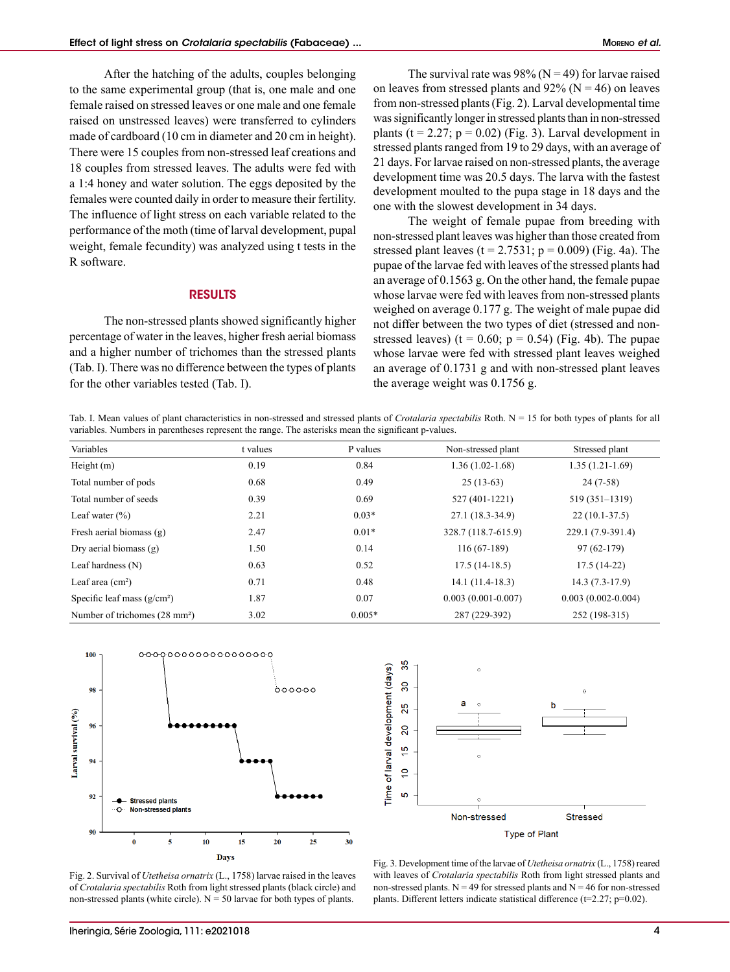After the hatching of the adults, couples belonging to the same experimental group (that is, one male and one female raised on stressed leaves or one male and one female raised on unstressed leaves) were transferred to cylinders made of cardboard (10 cm in diameter and 20 cm in height). There were 15 couples from non-stressed leaf creations and 18 couples from stressed leaves. The adults were fed with a 1:4 honey and water solution. The eggs deposited by the females were counted daily in order to measure their fertility. The influence of light stress on each variable related to the performance of the moth (time of larval development, pupal weight, female fecundity) was analyzed using t tests in the R software.

# RESULTS

The non-stressed plants showed significantly higher percentage of water in the leaves, higher fresh aerial biomass and a higher number of trichomes than the stressed plants (Tab. I). There was no difference between the types of plants for the other variables tested (Tab. I).

The survival rate was 98% ( $N = 49$ ) for larvae raised on leaves from stressed plants and  $92\%$  (N = 46) on leaves from non-stressed plants (Fig. 2). Larval developmental time was significantly longer in stressed plants than in non-stressed plants ( $t = 2.27$ ;  $p = 0.02$ ) (Fig. 3). Larval development in stressed plants ranged from 19 to 29 days, with an average of 21 days. For larvae raised on non-stressed plants, the average development time was 20.5 days. The larva with the fastest development moulted to the pupa stage in 18 days and the one with the slowest development in 34 days.

The weight of female pupae from breeding with non-stressed plant leaves was higher than those created from stressed plant leaves  $(t = 2.7531; p = 0.009)$  (Fig. 4a). The pupae of the larvae fed with leaves of the stressed plants had an average of 0.1563 g. On the other hand, the female pupae whose larvae were fed with leaves from non-stressed plants weighed on average 0.177 g. The weight of male pupae did not differ between the two types of diet (stressed and nonstressed leaves) (t =  $0.60$ ; p =  $0.54$ ) (Fig. 4b). The pupae whose larvae were fed with stressed plant leaves weighed an average of 0.1731 g and with non-stressed plant leaves the average weight was 0.1756 g.

Tab. I. Mean values of plant characteristics in non-stressed and stressed plants of *Crotalaria spectabilis* Roth. N = 15 for both types of plants for all variables. Numbers in parentheses represent the range. The asterisks mean the significant p-values.

| Variables                                 | t values | P values | Non-stressed plant     | Stressed plant         |
|-------------------------------------------|----------|----------|------------------------|------------------------|
| Height $(m)$                              | 0.19     | 0.84     | $1.36(1.02-1.68)$      | $1.35(1.21-1.69)$      |
| Total number of pods                      | 0.68     | 0.49     | $25(13-63)$            | $24(7-58)$             |
| Total number of seeds                     | 0.39     | 0.69     | 527 (401-1221)         | 519 (351-1319)         |
| Leaf water $(\% )$                        | 2.21     | $0.03*$  | 27.1 (18.3-34.9)       | $22(10.1-37.5)$        |
| Fresh aerial biomass $(g)$                | 2.47     | $0.01*$  | 328.7 (118.7-615.9)    | 229.1 (7.9-391.4)      |
| Dry aerial biomass $(g)$                  | 1.50     | 0.14     | $116(67-189)$          | $97(62-179)$           |
| Leaf hardness $(N)$                       | 0.63     | 0.52     | $17.5(14-18.5)$        | $17.5(14-22)$          |
| Leaf area $(cm2)$                         | 0.71     | 0.48     | $14.1(11.4-18.3)$      | $14.3(7.3-17.9)$       |
| Specific leaf mass $(g/cm2)$              | 1.87     | 0.07     | $0.003(0.001 - 0.007)$ | $0.003(0.002 - 0.004)$ |
| Number of trichomes (28 mm <sup>2</sup> ) | 3.02     | $0.005*$ | 287 (229-392)          | 252 (198-315)          |



35 Time of larval development (days) 8 25 20  $\frac{10}{2}$  $\tilde{a}$ ശ Non-stressed **Stressed** Type of Plant

Fig. 2. Survival of *Utetheisa ornatrix* (L., 1758) larvae raised in the leaves of *Crotalaria spectabilis* Roth from light stressed plants (black circle) and non-stressed plants (white circle).  $N = 50$  larvae for both types of plants.

Fig. 3. Development time of the larvae of *Utetheisa ornatrix* (L., 1758) reared with leaves of *Crotalaria spectabilis* Roth from light stressed plants and non-stressed plants.  $N = 49$  for stressed plants and  $N = 46$  for non-stressed plants. Different letters indicate statistical difference (t=2.27; p=0.02).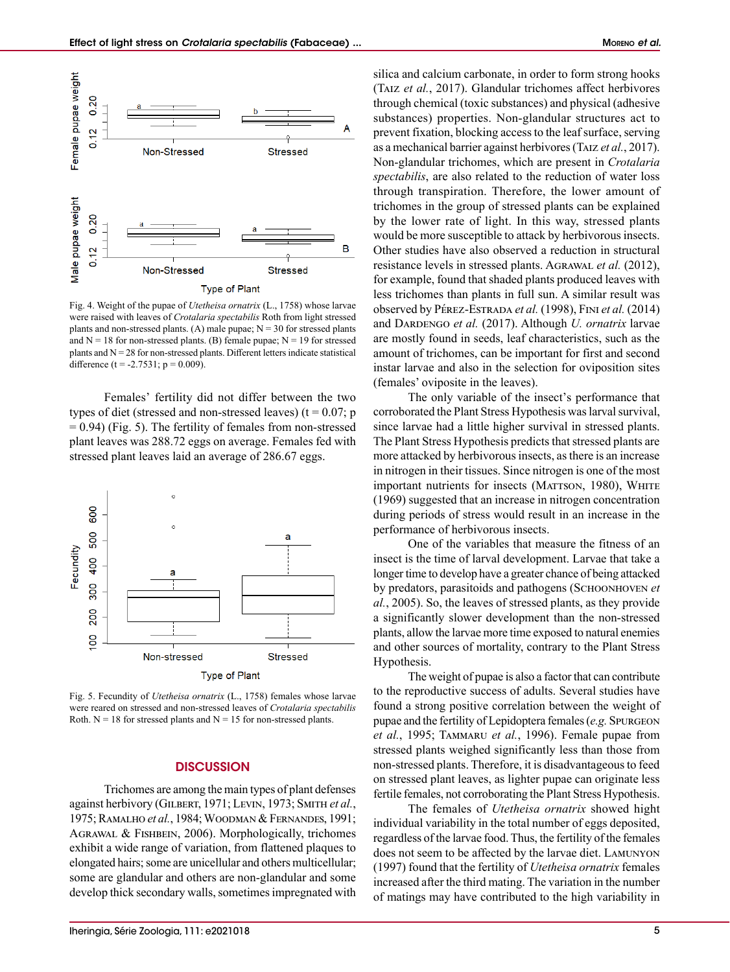

Fig. 4. Weight of the pupae of *Utetheisa ornatrix* (L., 1758) whose larvae were raised with leaves of *Crotalaria spectabilis* Roth from light stressed plants and non-stressed plants. (A) male pupae;  $N = 30$  for stressed plants and  $N = 18$  for non-stressed plants. (B) female pupae;  $N = 19$  for stressed plants and  $N = 28$  for non-stressed plants. Different letters indicate statistical difference (t = -2.7531;  $p = 0.009$ ).

Females' fertility did not differ between the two types of diet (stressed and non-stressed leaves) ( $t = 0.07$ ; p  $= 0.94$ ) (Fig. 5). The fertility of females from non-stressed plant leaves was 288.72 eggs on average. Females fed with stressed plant leaves laid an average of 286.67 eggs.



Fig. 5. Fecundity of *Utetheisa ornatrix* (L., 1758) females whose larvae were reared on stressed and non-stressed leaves of *Crotalaria spectabilis* Roth.  $N = 18$  for stressed plants and  $N = 15$  for non-stressed plants.

### **DISCUSSION**

Trichomes are among the main types of plant defenses against herbivory (GILBERT, 1971; LEVIN, 1973; SMITH et al., 1975; Ramalho *et al.*, 1984; Woodman & Fernandes, 1991; AGRAWAL & FISHBEIN, 2006). Morphologically, trichomes exhibit a wide range of variation, from flattened plaques to elongated hairs; some are unicellular and others multicellular; some are glandular and others are non-glandular and some develop thick secondary walls, sometimes impregnated with silica and calcium carbonate, in order to form strong hooks (Taiz *et al.*, 2017). Glandular trichomes affect herbivores through chemical (toxic substances) and physical (adhesive substances) properties. Non-glandular structures act to prevent fixation, blocking access to the leaf surface, serving as a mechanical barrier against herbivores (Taiz *et al.*, 2017). Non-glandular trichomes, which are present in *Crotalaria spectabilis*, are also related to the reduction of water loss through transpiration. Therefore, the lower amount of trichomes in the group of stressed plants can be explained by the lower rate of light. In this way, stressed plants would be more susceptible to attack by herbivorous insects. Other studies have also observed a reduction in structural resistance levels in stressed plants. Agrawal *et al.* (2012), for example, found that shaded plants produced leaves with less trichomes than plants in full sun. A similar result was observed by Pérez-Estrada *et al.* (1998), Fini *et al.* (2014) and DARDENGO et al. (2017). Although *U. ornatrix* larvae are mostly found in seeds, leaf characteristics, such as the amount of trichomes, can be important for first and second instar larvae and also in the selection for oviposition sites (females' oviposite in the leaves).

The only variable of the insect's performance that corroborated the Plant Stress Hypothesis was larval survival, since larvae had a little higher survival in stressed plants. The Plant Stress Hypothesis predicts that stressed plants are more attacked by herbivorous insects, as there is an increase in nitrogen in their tissues. Since nitrogen is one of the most important nutrients for insects (MATTSON, 1980), WHITE (1969) suggested that an increase in nitrogen concentration during periods of stress would result in an increase in the performance of herbivorous insects.

One of the variables that measure the fitness of an insect is the time of larval development. Larvae that take a longer time to develop have a greater chance of being attacked by predators, parasitoids and pathogens (Schoonhoven *et al.*, 2005). So, the leaves of stressed plants, as they provide a significantly slower development than the non-stressed plants, allow the larvae more time exposed to natural enemies and other sources of mortality, contrary to the Plant Stress Hypothesis.

The weight of pupae is also a factor that can contribute to the reproductive success of adults. Several studies have found a strong positive correlation between the weight of pupae and the fertility of Lepidoptera females (*e.g.* Spurgeon *et al.*, 1995; Tammaru *et al.*, 1996). Female pupae from stressed plants weighed significantly less than those from non-stressed plants. Therefore, it is disadvantageous to feed on stressed plant leaves, as lighter pupae can originate less fertile females, not corroborating the Plant Stress Hypothesis.

The females of *Utetheisa ornatrix* showed hight individual variability in the total number of eggs deposited, regardless of the larvae food. Thus, the fertility of the females does not seem to be affected by the larvae diet. Lamunyon (1997) found that the fertility of *Utetheisa ornatrix* females increased after the third mating. The variation in the number of matings may have contributed to the high variability in